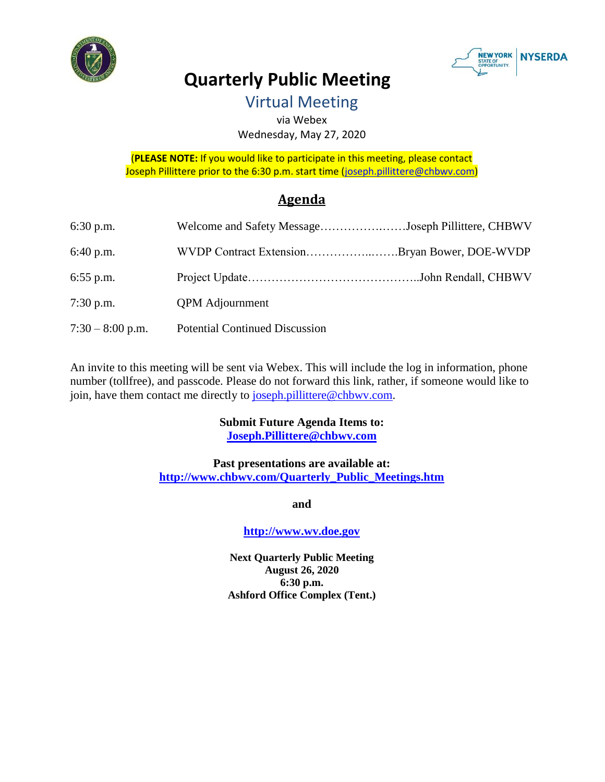



# **Quarterly Public Meeting**

Virtual Meeting

via Webex Wednesday, May 27, 2020

(**PLEASE NOTE:** If you would like to participate in this meeting, please contact Joseph Pillittere prior to the 6:30 p.m. start time [\(joseph.pillittere@chbwv.com\)](mailto:joseph.pillittere@chbwv.com)

# **Agenda**

| $6:30$ p.m.        | Welcome and Safety MessageJoseph Pillittere, CHBWV |  |
|--------------------|----------------------------------------------------|--|
| $6:40$ p.m.        | WVDP Contract ExtensionBryan Bower, DOE-WVDP       |  |
| $6:55$ p.m.        |                                                    |  |
| $7:30$ p.m.        | <b>QPM</b> Adjournment                             |  |
| $7:30 - 8:00$ p.m. | <b>Potential Continued Discussion</b>              |  |

An invite to this meeting will be sent via Webex. This will include the log in information, phone number (tollfree), and passcode. Please do not forward this link, rather, if someone would like to join, have them contact me directly to [joseph.pillittere@chbwv.com.](mailto:joseph.pillittere@chbwv.com)

## **Submit Future Agenda Items to: [Joseph.Pillittere@chbwv.com](mailto:Joseph.Pillittere@chbwv.com)**

#### **Past presentations are available at: [http://www.chbwv.com/Quarterly\\_Public\\_Meetings.htm](http://www.chbwv.com/Quarterly_Public_Meetings.htm)**

**and**

## **[http://www.wv.doe.gov](http://www.wv.doe.gov/)**

**Next Quarterly Public Meeting August 26, 2020 6:30 p.m. Ashford Office Complex (Tent.)**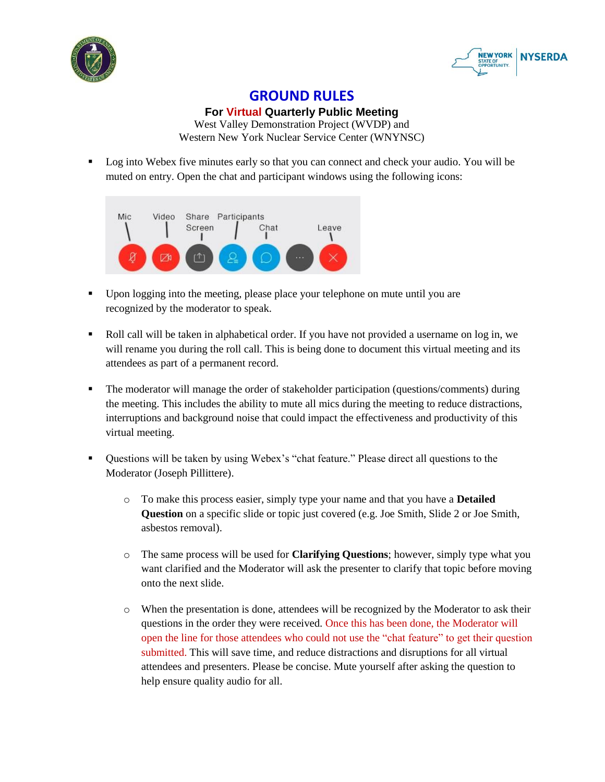



## **GROUND RULES**

**For Virtual Quarterly Public Meeting**

West Valley Demonstration Project (WVDP) and Western New York Nuclear Service Center (WNYNSC)

**Log into Webex five minutes early so that you can connect and check your audio. You will be** muted on entry. Open the chat and participant windows using the following icons:



- Upon logging into the meeting, please place your telephone on mute until you are recognized by the moderator to speak.
- Roll call will be taken in alphabetical order. If you have not provided a username on log in, we will rename you during the roll call. This is being done to document this virtual meeting and its attendees as part of a permanent record.
- The moderator will manage the order of stakeholder participation (questions/comments) during the meeting. This includes the ability to mute all mics during the meeting to reduce distractions, interruptions and background noise that could impact the effectiveness and productivity of this virtual meeting.
- Ouestions will be taken by using Webex's "chat feature." Please direct all questions to the Moderator (Joseph Pillittere).
	- o To make this process easier, simply type your name and that you have a **Detailed Question** on a specific slide or topic just covered (e.g. Joe Smith, Slide 2 or Joe Smith, asbestos removal).
	- o The same process will be used for **Clarifying Questions**; however, simply type what you want clarified and the Moderator will ask the presenter to clarify that topic before moving onto the next slide.
	- o When the presentation is done, attendees will be recognized by the Moderator to ask their questions in the order they were received. Once this has been done, the Moderator will open the line for those attendees who could not use the "chat feature" to get their question submitted. This will save time, and reduce distractions and disruptions for all virtual attendees and presenters. Please be concise. Mute yourself after asking the question to help ensure quality audio for all.